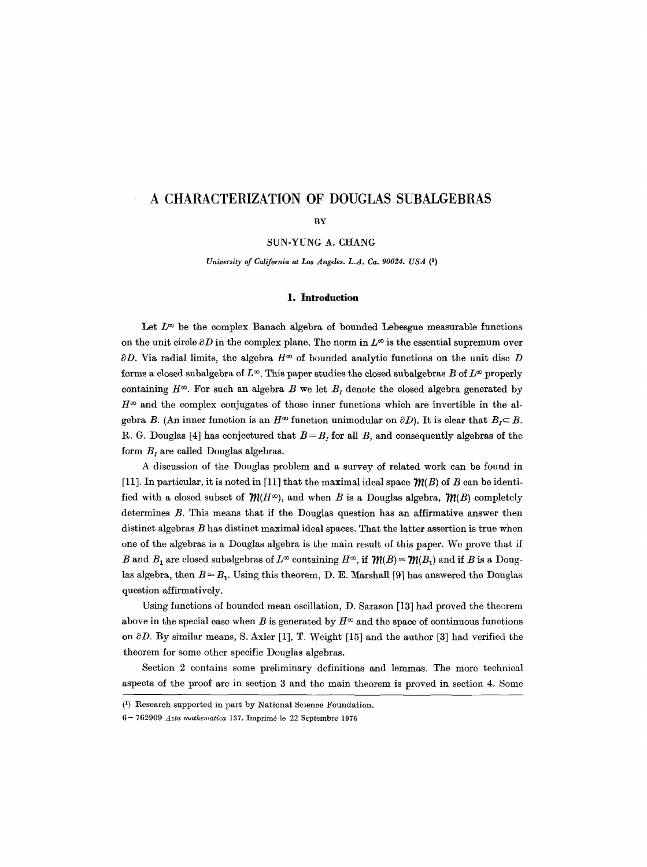# **A CHARACTERIZATION OF DOUGLAS SUBALGEBRAS**

**BY** 

SUN-YUNG A. CHANG

*University of California at Los Angeles. L.A. Ca. 90024. USA* (1)

#### **1. Introduction**

Let  $L^{\infty}$  be the complex Banach algebra of bounded Lebesgue measurable functions on the unit circle  $\partial D$  in the complex plane. The norm in  $L^{\infty}$  is the essential supremum over  $\partial D$ . Via radial limits, the algebra  $H^{\infty}$  of bounded analytic functions on the unit disc D forms a closed subalgebra of  $L^{\infty}$ . This paper studies the closed subalgebras B of  $L^{\infty}$  properly containing  $H^{\infty}$ . For such an algebra B we let  $B_t$  denote the closed algebra generated by  $H^{\infty}$  and the complex conjugates of those inner functions which are invertible in the algebra B. (An inner function is an  $H^{\infty}$  function unimodular on  $\partial D$ ). It is clear that  $B<sub>1</sub> \subset B$ . R. G. Douglas [4] has conjectured that  $B = B_I$  for all B, and consequently algebras of the form  $B_t$ , are called Douglas algebras.

A discussion of the Douglas problem and a survey of related work can be found in [11]. In particular, it is noted in [11] that the maximal ideal space  $\mathcal{W}(B)$  of B can be identified with a closed subset of  $m(H^{\infty})$ , and when B is a Douglas algebra,  $m(B)$  completely determines B. This means that if the Douglas question has an affirmative answer then distinct algebras B has distinct maximal ideal spaces. That the latter assertion is true when one of the algebras is a Douglas algebra is the main result of this paper. We prove that if B and  $B_1$  are closed subalgebras of  $L^\infty$  containing  $H^\infty$ , if  $\mathcal{W}(B) = \mathcal{W}(B_1)$  and if B is a Douglas algebra, then  $B = B<sub>1</sub>$ . Using this theorem, D. E. Marshall [9] has answered the Douglas question affirmatively.

Using functions of bounded mean oscillation, D. Sarason [13] had proved the theorem above in the special case when B is generated by  $H^{\infty}$  and the space of continuous functions on  $\partial D$ . By similar means, S. Axler [1], T. Weight [15] and the author [3] had verified the theorem for some other specific Douglas algebras.

Section 2 contains some preliminary definitions and lemmas. The more technical aspects of the proof are in section 3 and the main theorem is proved in section 4. Some

<sup>(~)</sup> Research supported in part by National Science Foundation.

<sup>6- 762909</sup> *Acta mathematica* 137. Imprim6 ]e 22 Septembrc 1976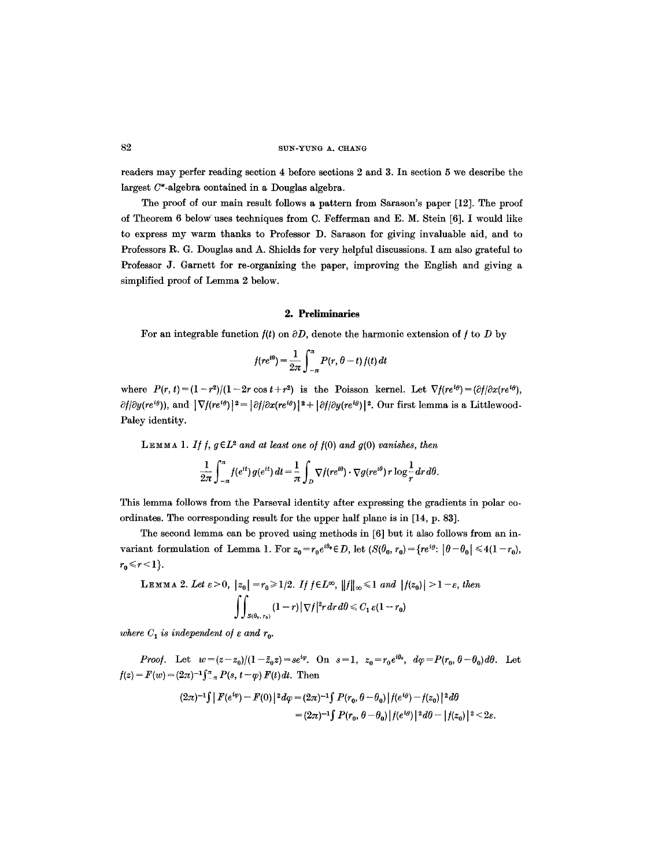readers may perfer reading section 4 before sections 2 and 3. In section 5 we describe the largest  $C^*$ -algebra contained in a Douglas algebra.

The proof of our main result follows a pattern from Sarason's paper [12]. The proof of Theorem 6 below uses techniques from C. Fefferman and E. M. Stein [6]. I would like to express my warm thanks to Professor D. Sarason for giving invaluable aid, and to Professors R. G. Douglas and A. Shields for very helpful discussions. I am also grateful to Professor J. Garnett for re-organizing the paper, improving the English and giving a simplified proof of Lemma 2 below.

# 2. **Preliminaries**

For an integrable function  $f(t)$  on  $\partial D$ , denote the harmonic extension of f to D by

$$
f(re^{i\theta}) = \frac{1}{2\pi} \int_{-\pi}^{\pi} P(r, \theta - t) f(t) dt
$$

where  $P(r, t) = (1 - r^2)/(1 - 2r \cos t + r^2)$  is the Poisson kernel. Let  $\nabla f(re^{i\theta}) = (\partial f/\partial x(re^{i\theta}))$  $\partial f/\partial y(re^{i\theta})$ , and  $|\nabla f(re^{i\theta})|^2 = |\partial f/\partial x(re^{i\theta})|^2 + |\partial f/\partial y(re^{i\theta})|^2$ . Our first lemma is a Littlewood-Paley identity.

LEMMA 1. If f,  $g \in L^2$  and at least one of  $f(0)$  and  $g(0)$  *vanishes, then* 

$$
\frac{1}{2\pi}\int_{-\pi}^{\pi}f(e^{it})\,g(e^{it})\,dt=\frac{1}{\pi}\int_{D}\nabla f(re^{i\theta})\cdot\nabla g(re^{i\theta})\,r\log\frac{1}{r}\,dr\,d\theta.
$$

This lemma follows from the Parseval identity after expressing the gradients in polar coordinates. The corresponding result for the upper half plane is in [14, p. 83].

The second lemma can be proved using methods in [6] but it also follows from an invariant formulation of Lemma 1. For  $z_0 = r_0 e^{i\theta_0} \in D$ , let  $(S(\theta_0, r_0) = \{re^{i\theta}: |\theta - \theta_0| \leq 4(1 - r_0),\}$  $r_0 \leq r \leq 1$ .

LEMMA 2. Let 
$$
\varepsilon > 0
$$
,  $|z_0| = r_0 \ge 1/2$ . If  $f \in L^{\infty}$ ,  $||f||_{\infty} \le 1$  and  $|f(z_0)| > 1 - \varepsilon$ , then  

$$
\iint_{S(\theta_0, r_0)} (1-r) |\nabla f|^2 r dr d\theta \le C_1 \varepsilon (1-r_0)
$$

*where*  $C_1$  *is independent of*  $\varepsilon$  *and*  $r_0$ *.* 

*Proof.* Let  $w=(z-z_0)/(1-\bar{z}_0z)=se^{i\varphi}$ . On  $s=1$ ,  $z_0=r_0e^{i\theta_0}$ ,  $d\varphi=P(r_0, \theta-\theta_0)d\theta$ . Let  $f(z) = F(w) = (2\pi)^{-1} \int_{-\pi}^{\pi} P(s, t - \varphi) F(t) dt$ . Then

$$
(2\pi)^{-1}\int |F(e^{i\varphi}) - F(0)|^2 d\varphi = (2\pi)^{-1}\int P(r_0, \theta - \theta_0) |f(e^{i\theta}) - f(z_0)|^2 d\theta
$$
  
=  $(2\pi)^{-1}\int P(r_0, \theta - \theta_0) |f(e^{i\theta})|^2 d\theta - |f(z_0)|^2 < 2\varepsilon$ .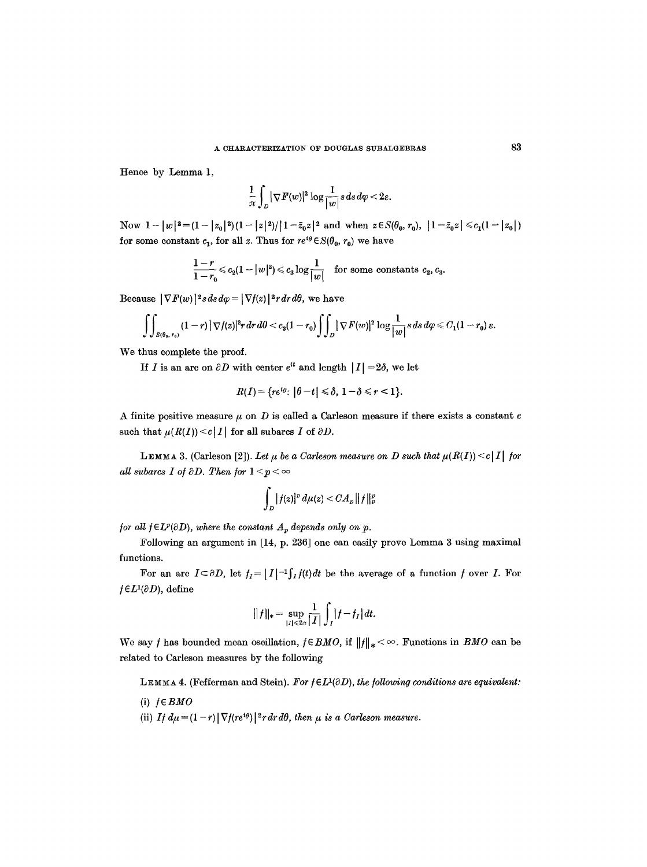Hence by Lemma 1,

$$
\frac{1}{\pi}\int_{D}|\nabla F(w)|^2\log\frac{1}{|w|} s\,ds\,d\varphi<2\varepsilon.
$$

Now  $1-|w|^2=(1-|z_0|^2)(1-|z|^2)/|1-\bar{z}_0z|^2$  and when  $z\in S(\theta_0, r_0), |1-\bar{z}_0z|\leq c_1(1-|z_0|)$ for some constant  $c_1$ , for all z. Thus for  $re^{i\theta} \in S(\theta_0, r_0)$  we have

$$
\frac{1-r}{1-r_0}\leqslant c_2(1-|w|^2)\leqslant c_3\log\frac{1}{|w|}\quad \text{for some constants $c_2$, $c_3$.}
$$

Because  $|\nabla F(w)|^2 s ds d\varphi = |\nabla f(z)|^2 r dr d\theta$ , we have

$$
\int\!\!\int_{S(\theta_0,r_0)}(1-r)\,|\,\nabla f(z)|^2r\,dr\,d\theta < c_3(1-r_0)\int\!\!\int_D|\,\nabla F(w)|^2\,\log\frac{1}{|w|}\,s\,ds\,d\varphi \leqslant C_1(1-r_0)\,\varepsilon.
$$

We thus complete the proof.

If I is an arc on  $\partial D$  with center  $e^{it}$  and length  $|I| = 2\delta$ , we let

$$
R(I) = \{ re^{i\theta} \colon |\theta - t| \le \delta, 1 - \delta \le r < 1 \}.
$$

A finite positive measure  $\mu$  on D is called a Carleson measure if there exists a constant c such that  $\mu(R(I)) \leq c|I|$  for all subarcs I of  $\partial D$ .

LEMMA 3. (Carleson [2]). Let  $\mu$  be a Carleson measure on D such that  $\mu(R(I)) \leq c|I|$  for *all subarcs I of*  $\partial D$ *. Then for*  $1 \leq p \leq \infty$ 

$$
\int_D |f(z)|^p\,d\mu(z) < CA_p \,||f||_p^p
$$

*for all*  $f \in L^p(\partial D)$ *, where the constant*  $A_p$  *depends only on p.* 

Following an argument in [14, p. 236] one can easily prove Lemma 3 using maximal functions.

For an arc  $I \subset \partial D$ , let  $f_I = |I|^{-1} \int_I f(t) dt$  be the average of a function f over I. For  $f \in L^1(\partial D)$ , define

$$
||f||_{*} = \sup_{|I| \le 2\pi} \frac{1}{|I|} \int_{I} |f - f_{I}| dt.
$$

We say f has bounded mean oscillation,  $f \in BMO$ , if  $||f||_* < \infty$ . Functions in *BMO* can be related to Carleson measures by the following

LEMMA 4. (Fefferman and Stein). For  $f \in L^1(\partial D)$ , the following conditions are equivalent:

 $(i)$   $f \in BMO$ 

(ii) *If*  $d\mu = (1 - r) |\nabla f(re^{i\theta})|^2 r dr d\theta$ , then  $\mu$  is a Carleson measure.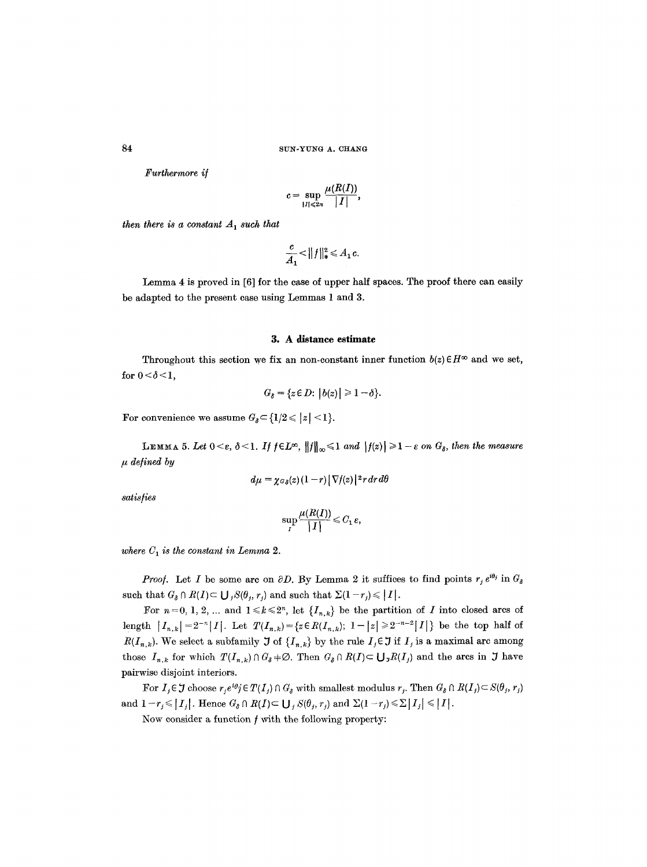*Furthermore i/* 

$$
c=\sup_{|I|\leqslant 2\pi}\frac{\mu(R(I))}{|I|},
$$

 $\sim$   $\sim$ 

*then there is a constant*  $A_1$  *such that* 

$$
\frac{c}{A_1} < ||f||_*^2 \leq A_1 c.
$$

Lemma 4 is proved in [6] for the case of upper half spaces. The proof there can easily be adapted to the present case using Lemmas 1 and 3.

## **3. A distance estimate**

Throughout this section we fix an non-constant inner function  $b(z) \in H^{\infty}$  and we set, for  $0 < \delta < 1$ ,

$$
G_{\delta} = \{z \in D: |b(z)| \geq 1-\delta\}.
$$

For convenience we assume  $G_{\delta} \subset \{1/2 \leq |z| < 1\}.$ 

**LEMMA** 5. Let  $0 \leq \varepsilon$ ,  $\delta \leq 1$ . If  $f \in L^{\infty}$ ,  $||f||_{\infty} \leq 1$  and  $|f(z)| \geq 1 - \varepsilon$  on  $G_{\delta}$ , then the measure *tt defined by* 

$$
d\mu = \chi \sigma_\delta(z) (1-r) \left[\nabla f(z)\right] \, {}^2r \, dr \, d\theta
$$

*satis/ies* 

$$
\sup_{I} \frac{\mu(R(I))}{|I|} \leqslant C_1 \, \varepsilon,
$$

where  $C_1$  is the constant in Lemma 2.

*Proof.* Let I be some arc on  $\partial D$ . By Lemma 2 it suffices to find points  $r_j e^{i\theta_j}$  in  $G_\delta$ such that  $G_{\delta} \cap R(I) \subset \bigcup_{j} S(\theta_j, r_j)$  and such that  $\Sigma(1 - r_j) \leq |I|.$ 

For  $n=0, 1, 2, ...$  and  $1 \leq k \leq 2^n$ , let  $\{I_{n,k}\}\$ be the partition of I into closed arcs of length  $|I_{n,k}| = 2^{-n}|I|.$  Let  $T(I_{n,k}) = \{z \in R(I_{n,k}); 1-|z| \geq 2^{-n-2}|I|\}$  be the top half of  $R(I_{n,k})$ . We select a subfamily  $\mathfrak I$  of  $\{I_{n,k}\}$  by the rule  $I_j \in \mathfrak I$  if  $I_j$  is a maximal arc among those  $I_{n,k}$  for which  $T(I_{n,k}) \cap G_{\delta} \neq \emptyset$ . Then  $G_{\delta} \cap R(I) \subset \bigcup_{\jmath} R(I_{\jmath})$  and the arcs in  $\jmath$  have pairwise disjoint interiors.

For  $I_j \in \mathcal{J}$  choose  $r_j e^{i\theta_j} \in T(I_j) \cap G_\delta$  with smallest modulus  $r_j$ . Then  $G_\delta \cap R(I_j) \subset S(\theta_j, r_j)$ and  $1-r_j \leqslant |I_j|$ . Hence  $G_\delta \cap R(I) \subset \bigcup_j S(\theta_j, r_j)$  and  $\Sigma(1-r_j) \leqslant \Sigma |I_j| \leqslant |I|.$ 

Now consider a function  $f$  with the following property: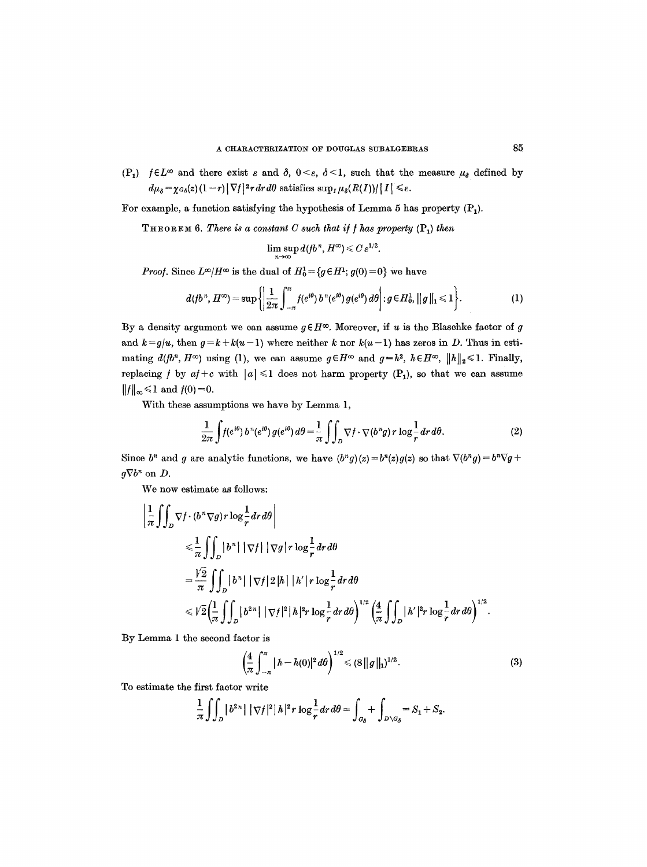$(P_1)$  */EL*<sup> $\infty$ </sup> and there exist  $\varepsilon$  and  $\delta$ ,  $0 \leq \varepsilon$ ,  $\delta \leq 1$ , such that the measure  $\mu_{\delta}$  defined by  $d\mu_{\delta} = \chi_{G_{\delta}}(z) (1-r) |\nabla f|^2 r dr d\theta$  satisfies  $\sup_I \mu_{\delta}(R(I))/|I| \leq \varepsilon$ .

For example, a function satisfying the hypothesis of Lemma 5 has property  $(P_1)$ .

**THEOREM 6.** *There is a constant C such that if f has property*  $(P_1)$  *then* 

$$
\limsup_{n\to\infty}d(\mathfrak{f}b^n, H^{\infty})\leqslant C\,\varepsilon^{1/2}.
$$

*Proof.* Since  $L^{\infty}/H^{\infty}$  is the dual of  $H_0^1 = \{g \in H^1 : g(0) = 0\}$  we have

$$
d(fb^n, H^{\infty}) = \sup \left\{ \left| \frac{1}{2\pi} \int_{-\pi}^{\pi} f(e^{i\theta}) b^n(e^{i\theta}) g(e^{i\theta}) d\theta \right| : g \in H_0^1, ||g||_1 \leq 1 \right\}.
$$
 (1)

By a density argument we can assume  $g \in H^{\infty}$ . Moreover, if u is the Blaschke factor of g and  $k = g/u$ , then  $g = k + k(u-1)$  where neither k nor  $k(u-1)$  has zeros in D. Thus in estimating  $d(b^n, H^\infty)$  using (1), we can assume  $g \in H^\infty$  and  $g=h^2$ ,  $h \in H^\infty$ ,  $||h||_2 \leq 1$ . Finally, replacing *f* by  $af + c$  with  $|a| \leq 1$  does not harm property  $(P_1)$ , so that we can assume  $||f||_{\infty} \le 1$  and  $f(0) = 0$ .

With these assumptions we have by Lemma 1,

$$
\frac{1}{2\pi} \int f(e^{i\theta}) b^n(e^{i\theta}) g(e^{i\theta}) d\theta = \frac{1}{\pi} \int \int_D \nabla f \cdot \nabla (b^n g) r \log \frac{1}{r} dr d\theta.
$$
 (2)

Since  $b^n$  and g are analytic functions, we have  $(b^n g)(z) = b^n(z)g(z)$  so that  $\nabla (b^n g) = b^n \nabla g + b^n g(z)$  $q\nabla b^n$  on  $D$ .

We now estimate as follows:

$$
\begin{split}\n&\left|\frac{1}{\pi}\int_{D}\nabla f\cdot(b^{n}\nabla g)r\log\frac{1}{r}dr d\theta\right| \\
&\leq \frac{1}{\pi}\int_{D}|b^{n}| |\nabla f| |\nabla g|r\log\frac{1}{r}dr d\theta \\
&=\frac{V_{2}}{\pi}\int_{D}|b^{n}| |\nabla f|^{2}|h| |h'|r\log\frac{1}{r}dr d\theta \\
&\leq V_{2}\left(\frac{1}{\pi}\int_{D}|b^{2n}| |\nabla f|^{2}|h|^{2}r\log\frac{1}{r}dr d\theta\right)^{1/2}\left(\frac{4}{\pi}\int_{D}|h'|^{2}r\log\frac{1}{r}dr d\theta\right)^{1/2}.\n\end{split}
$$

By Lemma 1 the second factor is

$$
\left(\frac{4}{\pi}\int_{-\pi}^{\pi}|h-h(0)|^2\,d\theta\right)^{1/2}\leq (8\,||g||_1)^{1/2}.\tag{3}
$$

To estimate the first factor write

$$
\frac{1}{\pi} \int\!\!\int_D |b^{2n}| \, | \, \nabla f|^2 \, | \, h \, |^2 r \, \log \frac{1}{r} dr d\theta = \int_{G_\delta} + \int_{D \backslash G_\delta} = S_1 + S_2.
$$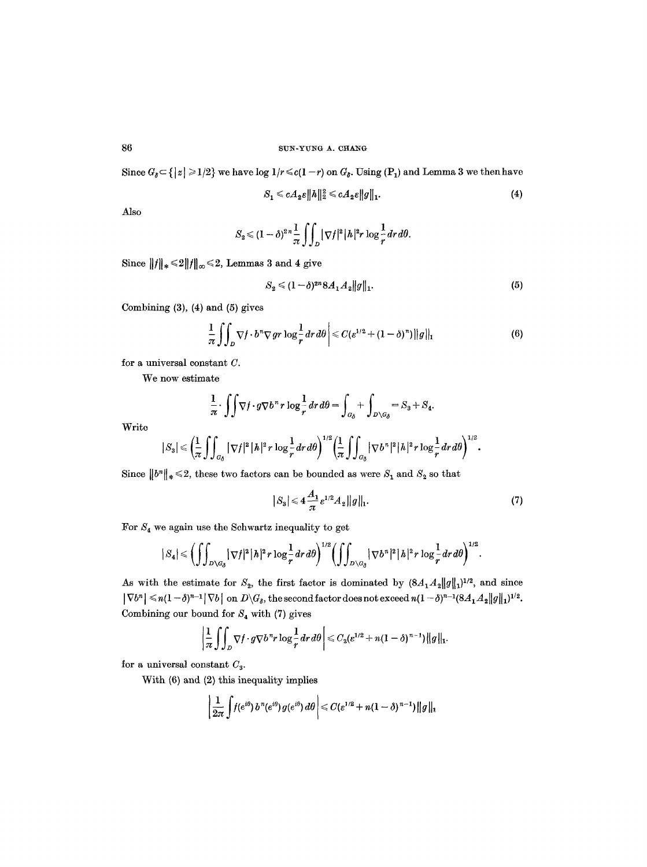Since  $G_{\delta} \subset \{|z| \geq 1/2\}$  we have log  $1/r \leq c(1-r)$  on  $G_{\delta}$ . Using  $(P_1)$  and Lemma 3 we then have

$$
S_1 \leqslant cA_2\varepsilon \|h\|_2^2 \leqslant cA_2\varepsilon \|g\|_1. \tag{4}
$$

Also

$$
S_2 \leq (1-\delta)^{2n}\frac{1}{\pi}\int_{D} |\nabla f|^2|h|^2 r \log \frac{1}{r} dr d\theta.
$$

Since  $||f||_* \le 2||f||_{\infty} \le 2$ , Lemmas 3 and 4 give

$$
S_2 \leq (1 - \delta)^{2n} 8A_1 A_2 ||g||_1.
$$
 (5)

Combining (3), (4) and (5) gives

$$
\frac{1}{\pi} \iint_D \nabla f \cdot b^n \nabla gr \log \frac{1}{r} dr d\theta \leq C (e^{1/2} + (1 - \delta)^n) ||g||_1 \tag{6}
$$

for a universal constant C.

We now estimate

$$
\frac{1}{\pi} \cdot \iint \nabla f \cdot g \nabla b^n r \log \frac{1}{r} dr d\theta = \int_{G_\delta} + \int_{D \setminus G_\delta} = S_3 + S_4.
$$

Write

$$
|S_3|\leqslant \bigg(\frac{1}{\pi}\int\!\!\int_{G_\delta}|\nabla f|^2\,|\,h|^2\,r\,\log \frac{1}{r}dr\,d\theta\bigg)^{1/2}\bigg(\frac{1}{\pi}\int\!\!\int_{G_\delta}|\nabla b^n|^2\,|\,h|^2\,r\,\log \frac{1}{r}dr\,d\theta\bigg)^{1/2}.
$$

Since  $||b^n||_* \leq 2$ , these two factors can be bounded as were  $S_1$  and  $S_2$  so that

$$
|S_3| \leqslant 4 \frac{A_1}{\pi} e^{1/2} A_2 ||g||_1.
$$
 (7)

For  $S_4$  we again use the Schwartz inequality to get

$$
|S_4| \leqslant \left( \int\!\!\int_{D\setminus G_\delta} |\nabla f|^2 |h|^2 r \log \frac{1}{r} dr d\theta \right)^{1/2} \left( \int\!\!\int_{D\setminus G_\delta} |\nabla b^n|^2 |h|^2 r \log \frac{1}{r} dr d\theta \right)^{1/2}.
$$

As with the estimate for  $S_2$ , the first factor is dominated by  $(8A_1A_2||g||_1)^{1/2}$ , and since  $|\nabla b^n| \le n(1-\delta)^{n-1} |\nabla b|$  on  $D\setminus G_\delta$ , the second factor does not exceed  $n(1-\delta)^{n-1}(8A_1A_2||g||_1)^{1/2}$ . Combining our bound for  $S_4$  with (7) gives

$$
\left|\frac{1}{\pi}\int_{D}\nabla f\cdot g\nabla b^{n}r\log\frac{1}{r}dr d\theta\right|\leqslant C_{3}(e^{1/2}+n(1-\delta)^{n-1})\|g\|_{1}.
$$

for a universal constant  $C_3$ .

With (6) and (2) this inequality implies

$$
\left|\frac{1}{2\pi}\int f(e^{i\theta}) b^{n}(e^{i\theta}) g(e^{i\theta}) d\theta\right| \leqslant C (e^{1/2}+n(1-\delta)^{n-1})\|g\|_{1}
$$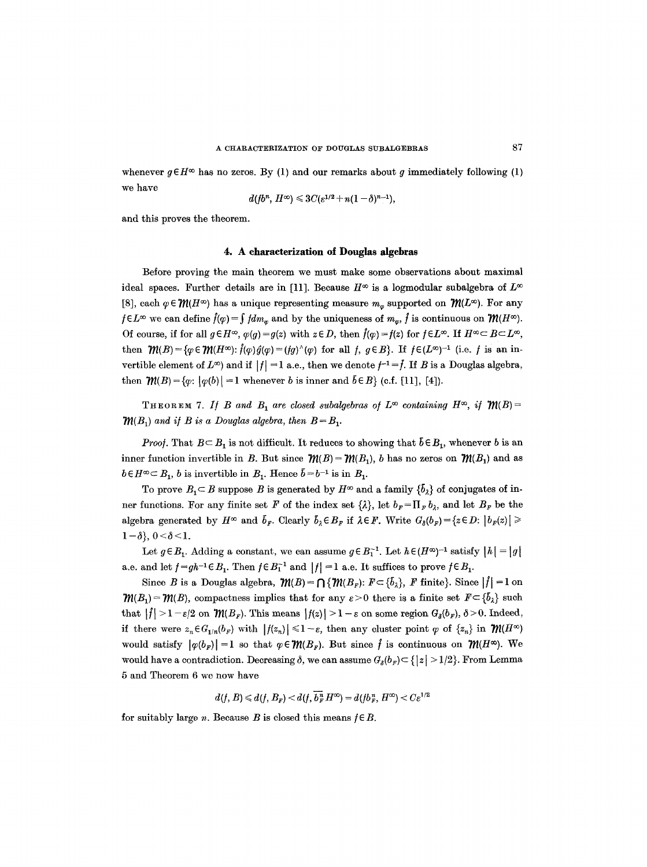whenever  $g \in H^\infty$  has no zeros. By (1) and our remarks about g immediately following (1) we have

$$
d(fb^n, H^{\infty}) \leq 3C(\varepsilon^{1/2} + n(1-\delta)^{n-1}),
$$

and this proves the theorem.

### **4. A characterization of Douglas algebras**

Before proving the main theorem we must make some observations about maximal ideal spaces. Further details are in [11]. Because  $H^{\infty}$  is a logmodular subalgebra of  $L^{\infty}$ [8], each  $\varphi \in \mathcal{W}(H^\infty)$  has a unique representing measure  $m_\varphi$  supported on  $\mathcal{W}(L^\infty)$ . For any  $f \in L^{\infty}$  we can define  $\hat{f}(\varphi) = \int f dm_{\varphi}$  and by the uniqueness of  $m_{\varphi}$ ,  $\hat{f}$  is continuous on  $\mathcal{W}(H^{\infty})$ . Of course, if for all  $g \in H^{\infty}$ ,  $\varphi(g) = g(z)$  with  $z \in D$ , then  $\hat{f}(\varphi) = f(z)$  for  $f \in L^{\infty}$ . If  $H^{\infty} \subset B \subset L^{\infty}$ , then  $\mathcal{W}(B) = \{\varphi \in \mathcal{W}(H^{\infty}) : \hat{f}(\varphi) \hat{g}(\varphi) = (fg)^{\wedge}(\varphi) \text{ for all } f, g \in B\}.$  If  $f \in (L^{\infty})^{-1}$  (i.e. f is an invertible element of  $L^{\infty}$ ) and if  $|f| = 1$  a.e., then we denote  $f^{-1} = \overline{f}$ . If B is a Douglas algebra, then  $\mathcal{W}(B) = \{\varphi: |\varphi(b)| = 1$  whenever b is inner and  $\vec{b} \in B\}$  (c.f. [11], [4]).

THEOREM 7. If B and  $B_1$  are closed subalgebras of  $L^\infty$  containing  $H^\infty$ , if  $\mathfrak{M}(B)$  =  $\mathcal{W}(B_1)$  and if B is a Douglas algebra, then  $B = B_1$ .

*Proof.* That  $B \subseteq B_1$  is not difficult. It reduces to showing that  $\bar{b} \in B_1$ , whenever b is an inner function invertible in B. But since  $\mathcal{W}(B) = \mathcal{W}(B_1)$ , b has no zeros on  $\mathcal{W}(B_1)$  and as  $b \in H^{\infty} \subset B_1$ , *b* is invertible in  $B_1$ . Hence  $\bar{b} = b^{-1}$  is in  $B_1$ .

To prove  $B_1 \subset B$  suppose B is generated by  $H^{\infty}$  and a family  $\{\bar{b}_\lambda\}$  of conjugates of inner functions. For any finite set F of the index set  $\{\lambda\}$ , let  $b_F=\prod_F b_{\lambda}$ , and let  $B_F$  be the algebra generated by  $H^{\infty}$  and  $\bar{b}_F$ . Clearly  $\bar{b}_\lambda \in B_F$  if  $\lambda \in F$ . Write  $G_{\delta}(b_F) = \{z \in D : |b_F(z)| \geq$  $1-\delta$ ,  $0<\delta<1$ .

Let  $g \in B_1$ . Adding a constant, we can assume  $g \in B_1^{-1}$ . Let  $h \in (H^{\infty})^{-1}$  satisfy  $|h| = |g|$ a.e. and let  $f=gh^{-1} \in B_1$ . Then  $f \in B_1^{-1}$  and  $|f|=1$  a.e. It suffices to prove  $f \in B_1$ .

Since B is a Douglas algebra,  $\mathcal{W}(B) = \bigcap \{ \mathcal{W}(B_r): F \subset \{b_{\lambda}\}\}\$  F finite}. Since  $|f| = 1$  on  $\mathcal{W}(B_1) = \mathcal{W}(B)$ , compactness implies that for any  $\varepsilon > 0$  there is a finite set  $F \subset \{\bar{b}_\lambda\}$  such that  $|f| > 1 - \varepsilon/2$  on  $\mathcal{W}(B_F)$ . This means  $|f(z)| > 1 - \varepsilon$  on some region  $G_{\delta}(b_F)$ ,  $\delta > 0$ . Indeed, if there were  $z_n \in G_{1/n}(b_F)$  with  $|f(z_n)| \leq 1 - \varepsilon$ , then any cluster point  $\varphi$  of  $\{z_n\}$  in  $\mathcal{M}(H^\infty)$ would satisfy  $|\varphi(b_F)| = 1$  so that  $\varphi \in \mathcal{W}(B_F)$ . But since  $\hat{f}$  is continuous on  $\mathcal{W}(H^{\infty})$ . We would have a contradiction. Decreasing  $\delta$ , we can assume  $G_{\delta}(b_r) \subset \{|z| > 1/2\}$ . From Lemma 5 and Theorem 6 we now have

 $d(f, B) \leq d(f, B_{F}) < d(f, \overline{b_{F}^{n}} H^{\infty}) = d(fb_{F}^{n}, H^{\infty}) < C \varepsilon^{1/2}$ 

for suitably large *n*. Because *B* is closed this means  $f \in B$ .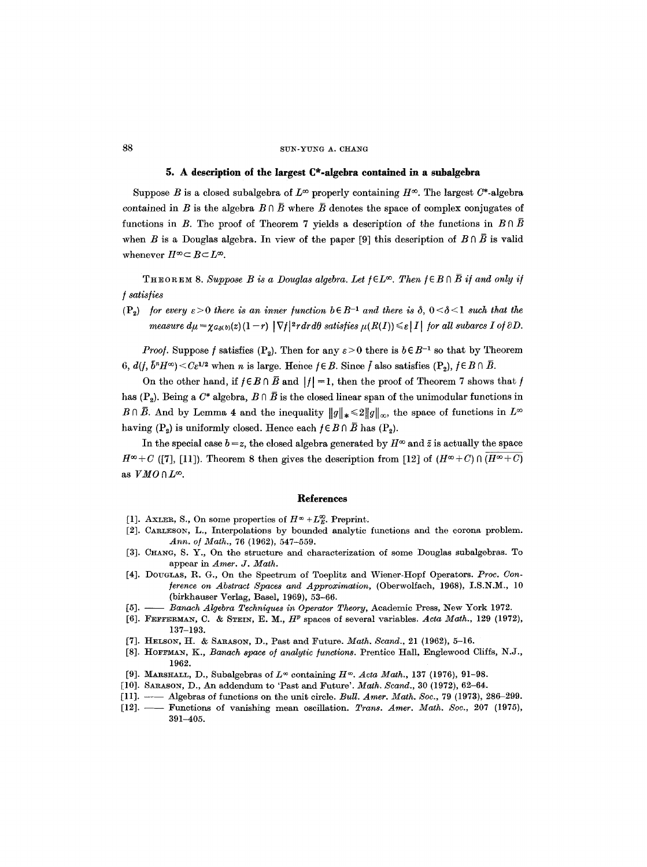#### 88 SUN-YUNG A. CHANG

# **5. A description of the largest C\*-algebra contained in a subalgebra**

Suppose B is a closed subalgebra of  $L^{\infty}$  properly containing  $H^{\infty}$ . The largest C<sup>\*</sup>-algebra contained in B is the algebra  $B \cap \overline{B}$  where  $\overline{B}$  denotes the space of complex conjugates of functions in B. The proof of Theorem 7 yields a description of the functions in  $B \cap \overline{B}$ when B is a Douglas algebra. In view of the paper [9] this description of  $B \cap \overline{B}$  is valid whenever  $H^{\infty} \subset B \subset L^{\infty}$ .

THEOREM 8. Suppose B is a Douglas algebra. Let  $f \in L^{\infty}$ . Then  $f \in B \cap \overline{B}$  if and only if */ satis/ies* 

(P<sub>2</sub>) *for every*  $\epsilon > 0$  *there is an inner function*  $b \in B^{-1}$  *and there is*  $\delta$ *,*  $0 < \delta < 1$  *such that the measure*  $d\mu = \gamma_{G_0(b)}(z)(1-r) |\nabla f|^2 r dr d\theta$  *satisfies*  $\mu(R(I)) \leq \varepsilon |I|$  *for all subarcs I of*  $\partial D$ *.* 

*Proof.* Suppose *f* satisfies (P<sub>2</sub>). Then for any  $\varepsilon > 0$  there is  $b \in B^{-1}$  so that by Theorem 6,  $d(f, \bar{b}^n H^{\infty}) < C \varepsilon^{1/2}$  when n is large. Hence  $f \in B$ . Since  $\bar{f}$  also satisfies  $(P_2)$ ,  $f \in B \cap \bar{B}$ .

On the other hand, if  $f \in B \cap \overline{B}$  and  $|f| = 1$ , then the proof of Theorem 7 shows that f has  $(P_2)$ . Being a  $C^*$  algebra,  $B \cap \overline{B}$  is the closed linear span of the unimodular functions in  $B\cap\overline{B}$ . And by Lemma 4 and the inequality  $||g||_*\leq 2||g||_{\infty}$ , the space of functions in  $L^{\infty}$ having  $(P_2)$  is uniformly closed. Hence each  $f \in B \cap \overline{B}$  has  $(P_2)$ .

In the special case  $b = z$ , the closed algebra generated by  $H^{\infty}$  and  $\bar{z}$  is actually the space  $H^{\infty}+C$  ([7], [11]). Theorem 8 then gives the description from [12] of  $(H^{\infty}+C) \cap \overline{(H^{\infty}+C)}$ as  $VMO \cap L^{\infty}$ .

#### **References**

- [1]. AXLER, S., On some properties of  $H^{\infty} + L_{E}^{\infty}$ . Preprint.
- [2]. CARLESON, L., Interpolations by bounded analytic functions and the corona problem. *Ann. o/Math.,* 76 (1962), 547-559.
- [3]. CHANO, S. Y., On the structure and characterization of some Douglas subalgobras. To appear in *Amer. J. Math.*
- [4]. DOUGLAS, R. G., On the Spectrum of Toeplitz and Wiener-Hopf Operators. *Prec. Con- /erence on Abstract Spaces and Approximation,* (Oberwolfach, 1968), I.S.N.M., 10 (birkhauser Vorlag, Basel, 1969), 53-66.
- [5]. *Banach Algebra Techniques in Operator Theory, Academic Press, New York 1972.*
- [6]. FEFFERMAN, C. & STEIN, E. M.,  $H<sup>p</sup>$  spaces of several variables. Acta Math., 129 (1972), 137-193.
- [7]. HELSON, H. & SARASON, D., Past and Future. *Math. Scand.,* 21 (1962), 5-16.
- [8]. HOFFMAN, K., *Banach space o/analytic /unctions.* Prentice Hall, Englewood Cliffs, N.J., 1962.
- [9]. MARSHALL, D., Subalgebras of  $L^\infty$  containing  $H^\infty$ . Acta Math., 137 (1976), 91-98.
- [10]. SARASON, D., An addendum to 'Past and Future'. *Math. Scand.,* 30 (1972), 62-64.
- [11]. -- Algebras of functions on the unit circle. *Bull. Amer. Math. Soc.,* 79 (1973), 286-299.
- [12]. Functions of vanishing mean oscillation. *Trans. Amer. Math. Soc.,* 207 (1975), 391-405.